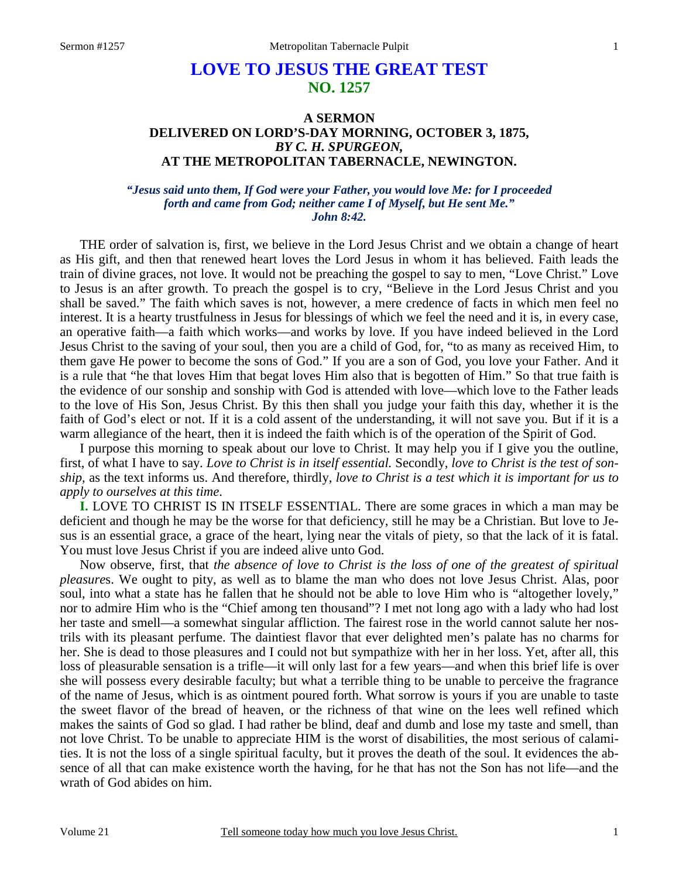# **LOVE TO JESUS THE GREAT TEST NO. 1257**

## **A SERMON DELIVERED ON LORD'S-DAY MORNING, OCTOBER 3, 1875,**  *BY C. H. SPURGEON,*  **AT THE METROPOLITAN TABERNACLE, NEWINGTON.**

#### *"Jesus said unto them, If God were your Father, you would love Me: for I proceeded forth and came from God; neither came I of Myself, but He sent Me." John 8:42.*

THE order of salvation is, first, we believe in the Lord Jesus Christ and we obtain a change of heart as His gift, and then that renewed heart loves the Lord Jesus in whom it has believed. Faith leads the train of divine graces, not love. It would not be preaching the gospel to say to men, "Love Christ." Love to Jesus is an after growth. To preach the gospel is to cry, "Believe in the Lord Jesus Christ and you shall be saved." The faith which saves is not, however, a mere credence of facts in which men feel no interest. It is a hearty trustfulness in Jesus for blessings of which we feel the need and it is, in every case, an operative faith—a faith which works—and works by love. If you have indeed believed in the Lord Jesus Christ to the saving of your soul, then you are a child of God, for, "to as many as received Him, to them gave He power to become the sons of God." If you are a son of God, you love your Father. And it is a rule that "he that loves Him that begat loves Him also that is begotten of Him." So that true faith is the evidence of our sonship and sonship with God is attended with love—which love to the Father leads to the love of His Son, Jesus Christ. By this then shall you judge your faith this day, whether it is the faith of God's elect or not. If it is a cold assent of the understanding, it will not save you. But if it is a warm allegiance of the heart, then it is indeed the faith which is of the operation of the Spirit of God.

 I purpose this morning to speak about our love to Christ. It may help you if I give you the outline, first, of what I have to say. *Love to Christ is in itself essential.* Secondly, *love to Christ is the test of sonship*, as the text informs us. And therefore, thirdly, *love to Christ is a test which it is important for us to apply to ourselves at this time*.

**I.** LOVE TO CHRIST IS IN ITSELF ESSENTIAL. There are some graces in which a man may be deficient and though he may be the worse for that deficiency, still he may be a Christian. But love to Jesus is an essential grace, a grace of the heart, lying near the vitals of piety, so that the lack of it is fatal. You must love Jesus Christ if you are indeed alive unto God.

 Now observe, first, that *the absence of love to Christ is the loss of one of the greatest of spiritual pleasure*s. We ought to pity, as well as to blame the man who does not love Jesus Christ. Alas, poor soul, into what a state has he fallen that he should not be able to love Him who is "altogether lovely," nor to admire Him who is the "Chief among ten thousand"? I met not long ago with a lady who had lost her taste and smell—a somewhat singular affliction. The fairest rose in the world cannot salute her nostrils with its pleasant perfume. The daintiest flavor that ever delighted men's palate has no charms for her. She is dead to those pleasures and I could not but sympathize with her in her loss. Yet, after all, this loss of pleasurable sensation is a trifle—it will only last for a few years—and when this brief life is over she will possess every desirable faculty; but what a terrible thing to be unable to perceive the fragrance of the name of Jesus, which is as ointment poured forth. What sorrow is yours if you are unable to taste the sweet flavor of the bread of heaven, or the richness of that wine on the lees well refined which makes the saints of God so glad. I had rather be blind, deaf and dumb and lose my taste and smell, than not love Christ. To be unable to appreciate HIM is the worst of disabilities, the most serious of calamities. It is not the loss of a single spiritual faculty, but it proves the death of the soul. It evidences the absence of all that can make existence worth the having, for he that has not the Son has not life—and the wrath of God abides on him.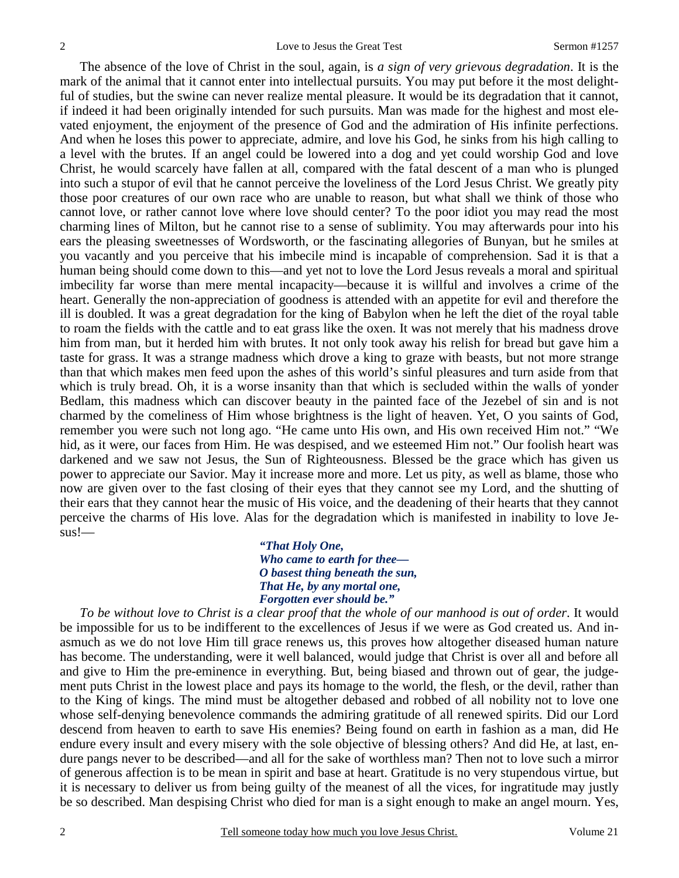The absence of the love of Christ in the soul, again, is *a sign of very grievous degradation*. It is the mark of the animal that it cannot enter into intellectual pursuits. You may put before it the most delightful of studies, but the swine can never realize mental pleasure. It would be its degradation that it cannot, if indeed it had been originally intended for such pursuits. Man was made for the highest and most elevated enjoyment, the enjoyment of the presence of God and the admiration of His infinite perfections. And when he loses this power to appreciate, admire, and love his God, he sinks from his high calling to a level with the brutes. If an angel could be lowered into a dog and yet could worship God and love Christ, he would scarcely have fallen at all, compared with the fatal descent of a man who is plunged into such a stupor of evil that he cannot perceive the loveliness of the Lord Jesus Christ. We greatly pity those poor creatures of our own race who are unable to reason, but what shall we think of those who cannot love, or rather cannot love where love should center? To the poor idiot you may read the most charming lines of Milton, but he cannot rise to a sense of sublimity. You may afterwards pour into his ears the pleasing sweetnesses of Wordsworth, or the fascinating allegories of Bunyan, but he smiles at you vacantly and you perceive that his imbecile mind is incapable of comprehension. Sad it is that a human being should come down to this—and yet not to love the Lord Jesus reveals a moral and spiritual imbecility far worse than mere mental incapacity—because it is willful and involves a crime of the heart. Generally the non-appreciation of goodness is attended with an appetite for evil and therefore the ill is doubled. It was a great degradation for the king of Babylon when he left the diet of the royal table to roam the fields with the cattle and to eat grass like the oxen. It was not merely that his madness drove him from man, but it herded him with brutes. It not only took away his relish for bread but gave him a taste for grass. It was a strange madness which drove a king to graze with beasts, but not more strange than that which makes men feed upon the ashes of this world's sinful pleasures and turn aside from that which is truly bread. Oh, it is a worse insanity than that which is secluded within the walls of yonder Bedlam, this madness which can discover beauty in the painted face of the Jezebel of sin and is not charmed by the comeliness of Him whose brightness is the light of heaven. Yet, O you saints of God, remember you were such not long ago. "He came unto His own, and His own received Him not." "We hid, as it were, our faces from Him. He was despised, and we esteemed Him not." Our foolish heart was darkened and we saw not Jesus, the Sun of Righteousness. Blessed be the grace which has given us power to appreciate our Savior. May it increase more and more. Let us pity, as well as blame, those who now are given over to the fast closing of their eyes that they cannot see my Lord, and the shutting of their ears that they cannot hear the music of His voice, and the deadening of their hearts that they cannot perceive the charms of His love. Alas for the degradation which is manifested in inability to love Jesus!—

> *"That Holy One, Who came to earth for thee— O basest thing beneath the sun, That He, by any mortal one, Forgotten ever should be."*

 *To be without love to Christ is a clear proof that the whole of our manhood is out of order*. It would be impossible for us to be indifferent to the excellences of Jesus if we were as God created us. And inasmuch as we do not love Him till grace renews us, this proves how altogether diseased human nature has become. The understanding, were it well balanced, would judge that Christ is over all and before all and give to Him the pre-eminence in everything. But, being biased and thrown out of gear, the judgement puts Christ in the lowest place and pays its homage to the world, the flesh, or the devil, rather than to the King of kings. The mind must be altogether debased and robbed of all nobility not to love one whose self-denying benevolence commands the admiring gratitude of all renewed spirits. Did our Lord descend from heaven to earth to save His enemies? Being found on earth in fashion as a man, did He endure every insult and every misery with the sole objective of blessing others? And did He, at last, endure pangs never to be described—and all for the sake of worthless man? Then not to love such a mirror of generous affection is to be mean in spirit and base at heart. Gratitude is no very stupendous virtue, but it is necessary to deliver us from being guilty of the meanest of all the vices, for ingratitude may justly be so described. Man despising Christ who died for man is a sight enough to make an angel mourn. Yes,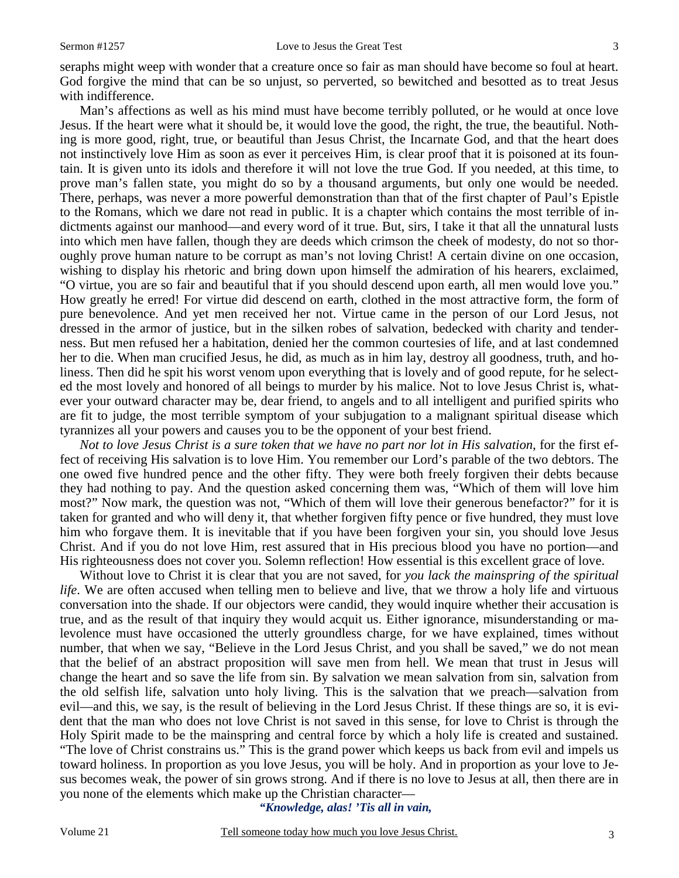seraphs might weep with wonder that a creature once so fair as man should have become so foul at heart. God forgive the mind that can be so unjust, so perverted, so bewitched and besotted as to treat Jesus with indifference.

 Man's affections as well as his mind must have become terribly polluted, or he would at once love Jesus. If the heart were what it should be, it would love the good, the right, the true, the beautiful. Nothing is more good, right, true, or beautiful than Jesus Christ, the Incarnate God, and that the heart does not instinctively love Him as soon as ever it perceives Him, is clear proof that it is poisoned at its fountain. It is given unto its idols and therefore it will not love the true God. If you needed, at this time, to prove man's fallen state, you might do so by a thousand arguments, but only one would be needed. There, perhaps, was never a more powerful demonstration than that of the first chapter of Paul's Epistle to the Romans, which we dare not read in public. It is a chapter which contains the most terrible of indictments against our manhood—and every word of it true. But, sirs, I take it that all the unnatural lusts into which men have fallen, though they are deeds which crimson the cheek of modesty, do not so thoroughly prove human nature to be corrupt as man's not loving Christ! A certain divine on one occasion, wishing to display his rhetoric and bring down upon himself the admiration of his hearers, exclaimed, "O virtue, you are so fair and beautiful that if you should descend upon earth, all men would love you." How greatly he erred! For virtue did descend on earth, clothed in the most attractive form, the form of pure benevolence. And yet men received her not. Virtue came in the person of our Lord Jesus, not dressed in the armor of justice, but in the silken robes of salvation, bedecked with charity and tenderness. But men refused her a habitation, denied her the common courtesies of life, and at last condemned her to die. When man crucified Jesus, he did, as much as in him lay, destroy all goodness, truth, and holiness. Then did he spit his worst venom upon everything that is lovely and of good repute, for he selected the most lovely and honored of all beings to murder by his malice. Not to love Jesus Christ is, whatever your outward character may be, dear friend, to angels and to all intelligent and purified spirits who are fit to judge, the most terrible symptom of your subjugation to a malignant spiritual disease which tyrannizes all your powers and causes you to be the opponent of your best friend.

*Not to love Jesus Christ is a sure token that we have no part nor lot in His salvation*, for the first effect of receiving His salvation is to love Him. You remember our Lord's parable of the two debtors. The one owed five hundred pence and the other fifty. They were both freely forgiven their debts because they had nothing to pay. And the question asked concerning them was, "Which of them will love him most?" Now mark, the question was not, "Which of them will love their generous benefactor?" for it is taken for granted and who will deny it, that whether forgiven fifty pence or five hundred, they must love him who forgave them. It is inevitable that if you have been forgiven your sin, you should love Jesus Christ. And if you do not love Him, rest assured that in His precious blood you have no portion—and His righteousness does not cover you. Solemn reflection! How essential is this excellent grace of love.

 Without love to Christ it is clear that you are not saved, for *you lack the mainspring of the spiritual life*. We are often accused when telling men to believe and live, that we throw a holy life and virtuous conversation into the shade. If our objectors were candid, they would inquire whether their accusation is true, and as the result of that inquiry they would acquit us. Either ignorance, misunderstanding or malevolence must have occasioned the utterly groundless charge, for we have explained, times without number, that when we say, "Believe in the Lord Jesus Christ, and you shall be saved," we do not mean that the belief of an abstract proposition will save men from hell. We mean that trust in Jesus will change the heart and so save the life from sin. By salvation we mean salvation from sin, salvation from the old selfish life, salvation unto holy living. This is the salvation that we preach—salvation from evil—and this, we say, is the result of believing in the Lord Jesus Christ. If these things are so, it is evident that the man who does not love Christ is not saved in this sense, for love to Christ is through the Holy Spirit made to be the mainspring and central force by which a holy life is created and sustained. "The love of Christ constrains us." This is the grand power which keeps us back from evil and impels us toward holiness. In proportion as you love Jesus, you will be holy. And in proportion as your love to Jesus becomes weak, the power of sin grows strong. And if there is no love to Jesus at all, then there are in you none of the elements which make up the Christian character—

*"Knowledge, alas! 'Tis all in vain,*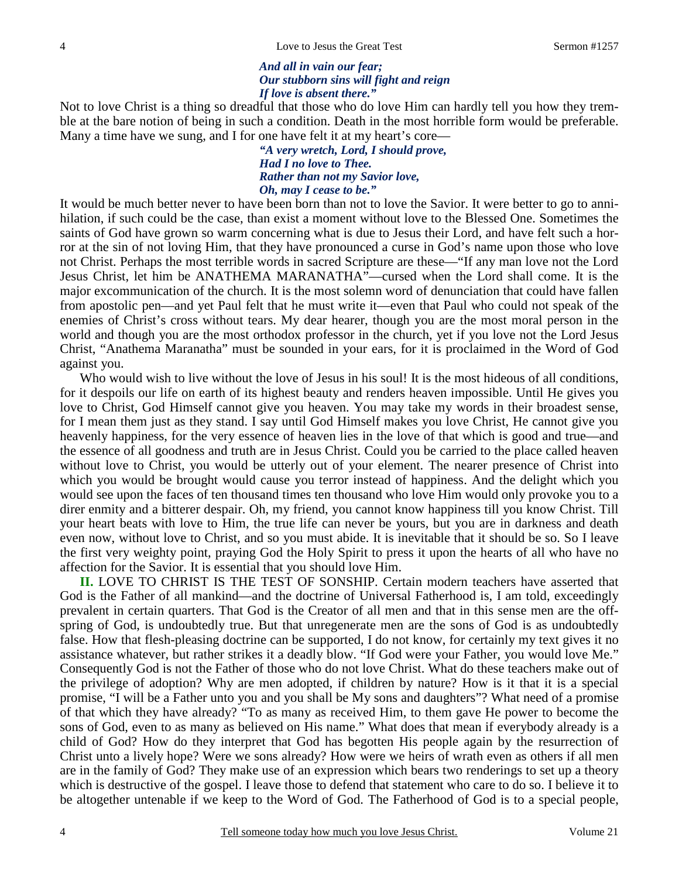### *And all in vain our fear; Our stubborn sins will fight and reign If love is absent there."*

Not to love Christ is a thing so dreadful that those who do love Him can hardly tell you how they tremble at the bare notion of being in such a condition. Death in the most horrible form would be preferable. Many a time have we sung, and I for one have felt it at my heart's core—

> *"A very wretch, Lord, I should prove, Had I no love to Thee. Rather than not my Savior love, Oh, may I cease to be."*

It would be much better never to have been born than not to love the Savior. It were better to go to annihilation, if such could be the case, than exist a moment without love to the Blessed One. Sometimes the saints of God have grown so warm concerning what is due to Jesus their Lord, and have felt such a horror at the sin of not loving Him, that they have pronounced a curse in God's name upon those who love not Christ. Perhaps the most terrible words in sacred Scripture are these—"If any man love not the Lord Jesus Christ, let him be ANATHEMA MARANATHA"—cursed when the Lord shall come. It is the major excommunication of the church. It is the most solemn word of denunciation that could have fallen from apostolic pen—and yet Paul felt that he must write it—even that Paul who could not speak of the enemies of Christ's cross without tears. My dear hearer, though you are the most moral person in the world and though you are the most orthodox professor in the church, yet if you love not the Lord Jesus Christ, "Anathema Maranatha" must be sounded in your ears, for it is proclaimed in the Word of God against you.

Who would wish to live without the love of Jesus in his soul! It is the most hideous of all conditions, for it despoils our life on earth of its highest beauty and renders heaven impossible. Until He gives you love to Christ, God Himself cannot give you heaven. You may take my words in their broadest sense, for I mean them just as they stand. I say until God Himself makes you love Christ, He cannot give you heavenly happiness, for the very essence of heaven lies in the love of that which is good and true—and the essence of all goodness and truth are in Jesus Christ. Could you be carried to the place called heaven without love to Christ, you would be utterly out of your element. The nearer presence of Christ into which you would be brought would cause you terror instead of happiness. And the delight which you would see upon the faces of ten thousand times ten thousand who love Him would only provoke you to a direr enmity and a bitterer despair. Oh, my friend, you cannot know happiness till you know Christ. Till your heart beats with love to Him, the true life can never be yours, but you are in darkness and death even now, without love to Christ, and so you must abide. It is inevitable that it should be so. So I leave the first very weighty point, praying God the Holy Spirit to press it upon the hearts of all who have no affection for the Savior. It is essential that you should love Him.

**II.** LOVE TO CHRIST IS THE TEST OF SONSHIP. Certain modern teachers have asserted that God is the Father of all mankind—and the doctrine of Universal Fatherhood is, I am told, exceedingly prevalent in certain quarters. That God is the Creator of all men and that in this sense men are the offspring of God, is undoubtedly true. But that unregenerate men are the sons of God is as undoubtedly false. How that flesh-pleasing doctrine can be supported, I do not know, for certainly my text gives it no assistance whatever, but rather strikes it a deadly blow. "If God were your Father, you would love Me." Consequently God is not the Father of those who do not love Christ. What do these teachers make out of the privilege of adoption? Why are men adopted, if children by nature? How is it that it is a special promise, "I will be a Father unto you and you shall be My sons and daughters"? What need of a promise of that which they have already? "To as many as received Him, to them gave He power to become the sons of God, even to as many as believed on His name." What does that mean if everybody already is a child of God? How do they interpret that God has begotten His people again by the resurrection of Christ unto a lively hope? Were we sons already? How were we heirs of wrath even as others if all men are in the family of God? They make use of an expression which bears two renderings to set up a theory which is destructive of the gospel. I leave those to defend that statement who care to do so. I believe it to be altogether untenable if we keep to the Word of God. The Fatherhood of God is to a special people,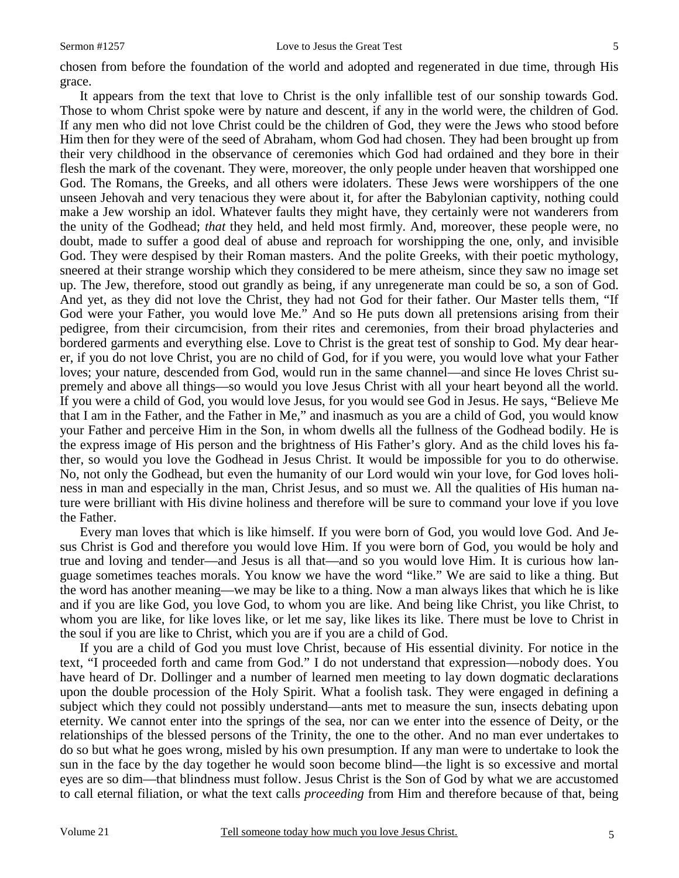chosen from before the foundation of the world and adopted and regenerated in due time, through His grace.

 It appears from the text that love to Christ is the only infallible test of our sonship towards God. Those to whom Christ spoke were by nature and descent, if any in the world were, the children of God. If any men who did not love Christ could be the children of God, they were the Jews who stood before Him then for they were of the seed of Abraham, whom God had chosen. They had been brought up from their very childhood in the observance of ceremonies which God had ordained and they bore in their flesh the mark of the covenant. They were, moreover, the only people under heaven that worshipped one God. The Romans, the Greeks, and all others were idolaters. These Jews were worshippers of the one unseen Jehovah and very tenacious they were about it, for after the Babylonian captivity, nothing could make a Jew worship an idol. Whatever faults they might have, they certainly were not wanderers from the unity of the Godhead; *that* they held, and held most firmly. And, moreover, these people were, no doubt, made to suffer a good deal of abuse and reproach for worshipping the one, only, and invisible God. They were despised by their Roman masters. And the polite Greeks, with their poetic mythology, sneered at their strange worship which they considered to be mere atheism, since they saw no image set up. The Jew, therefore, stood out grandly as being, if any unregenerate man could be so, a son of God. And yet, as they did not love the Christ, they had not God for their father. Our Master tells them, "If God were your Father, you would love Me." And so He puts down all pretensions arising from their pedigree, from their circumcision, from their rites and ceremonies, from their broad phylacteries and bordered garments and everything else. Love to Christ is the great test of sonship to God. My dear hearer, if you do not love Christ, you are no child of God, for if you were, you would love what your Father loves; your nature, descended from God, would run in the same channel—and since He loves Christ supremely and above all things—so would you love Jesus Christ with all your heart beyond all the world. If you were a child of God, you would love Jesus, for you would see God in Jesus. He says, "Believe Me that I am in the Father, and the Father in Me," and inasmuch as you are a child of God, you would know your Father and perceive Him in the Son, in whom dwells all the fullness of the Godhead bodily. He is the express image of His person and the brightness of His Father's glory. And as the child loves his father, so would you love the Godhead in Jesus Christ. It would be impossible for you to do otherwise. No, not only the Godhead, but even the humanity of our Lord would win your love, for God loves holiness in man and especially in the man, Christ Jesus, and so must we. All the qualities of His human nature were brilliant with His divine holiness and therefore will be sure to command your love if you love the Father.

 Every man loves that which is like himself. If you were born of God, you would love God. And Jesus Christ is God and therefore you would love Him. If you were born of God, you would be holy and true and loving and tender—and Jesus is all that—and so you would love Him. It is curious how language sometimes teaches morals. You know we have the word "like." We are said to like a thing. But the word has another meaning—we may be like to a thing. Now a man always likes that which he is like and if you are like God, you love God, to whom you are like. And being like Christ, you like Christ, to whom you are like, for like loves like, or let me say, like likes its like. There must be love to Christ in the soul if you are like to Christ, which you are if you are a child of God.

 If you are a child of God you must love Christ, because of His essential divinity. For notice in the text, "I proceeded forth and came from God." I do not understand that expression—nobody does. You have heard of Dr. Dollinger and a number of learned men meeting to lay down dogmatic declarations upon the double procession of the Holy Spirit. What a foolish task. They were engaged in defining a subject which they could not possibly understand—ants met to measure the sun, insects debating upon eternity. We cannot enter into the springs of the sea, nor can we enter into the essence of Deity, or the relationships of the blessed persons of the Trinity, the one to the other. And no man ever undertakes to do so but what he goes wrong, misled by his own presumption. If any man were to undertake to look the sun in the face by the day together he would soon become blind—the light is so excessive and mortal eyes are so dim—that blindness must follow. Jesus Christ is the Son of God by what we are accustomed to call eternal filiation, or what the text calls *proceeding* from Him and therefore because of that, being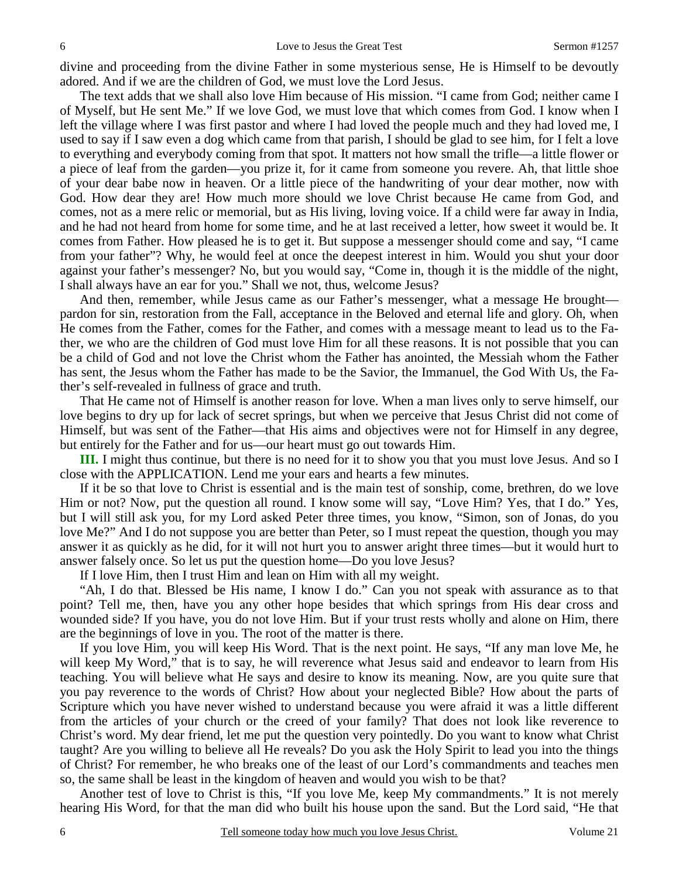divine and proceeding from the divine Father in some mysterious sense, He is Himself to be devoutly adored. And if we are the children of God, we must love the Lord Jesus.

 The text adds that we shall also love Him because of His mission. "I came from God; neither came I of Myself, but He sent Me." If we love God, we must love that which comes from God. I know when I left the village where I was first pastor and where I had loved the people much and they had loved me, I used to say if I saw even a dog which came from that parish, I should be glad to see him, for I felt a love to everything and everybody coming from that spot. It matters not how small the trifle—a little flower or a piece of leaf from the garden—you prize it, for it came from someone you revere. Ah, that little shoe of your dear babe now in heaven. Or a little piece of the handwriting of your dear mother, now with God. How dear they are! How much more should we love Christ because He came from God, and comes, not as a mere relic or memorial, but as His living, loving voice. If a child were far away in India, and he had not heard from home for some time, and he at last received a letter, how sweet it would be. It comes from Father. How pleased he is to get it. But suppose a messenger should come and say, "I came from your father"? Why, he would feel at once the deepest interest in him. Would you shut your door against your father's messenger? No, but you would say, "Come in, though it is the middle of the night, I shall always have an ear for you." Shall we not, thus, welcome Jesus?

 And then, remember, while Jesus came as our Father's messenger, what a message He brought pardon for sin, restoration from the Fall, acceptance in the Beloved and eternal life and glory. Oh, when He comes from the Father, comes for the Father, and comes with a message meant to lead us to the Father, we who are the children of God must love Him for all these reasons. It is not possible that you can be a child of God and not love the Christ whom the Father has anointed, the Messiah whom the Father has sent, the Jesus whom the Father has made to be the Savior, the Immanuel, the God With Us, the Father's self-revealed in fullness of grace and truth.

 That He came not of Himself is another reason for love. When a man lives only to serve himself, our love begins to dry up for lack of secret springs, but when we perceive that Jesus Christ did not come of Himself, but was sent of the Father—that His aims and objectives were not for Himself in any degree, but entirely for the Father and for us—our heart must go out towards Him.

**III.** I might thus continue, but there is no need for it to show you that you must love Jesus. And so I close with the APPLICATION. Lend me your ears and hearts a few minutes.

 If it be so that love to Christ is essential and is the main test of sonship, come, brethren, do we love Him or not? Now, put the question all round. I know some will say, "Love Him? Yes, that I do." Yes, but I will still ask you, for my Lord asked Peter three times, you know, "Simon, son of Jonas, do you love Me?" And I do not suppose you are better than Peter, so I must repeat the question, though you may answer it as quickly as he did, for it will not hurt you to answer aright three times—but it would hurt to answer falsely once. So let us put the question home—Do you love Jesus?

If I love Him, then I trust Him and lean on Him with all my weight.

 "Ah, I do that. Blessed be His name, I know I do." Can you not speak with assurance as to that point? Tell me, then, have you any other hope besides that which springs from His dear cross and wounded side? If you have, you do not love Him. But if your trust rests wholly and alone on Him, there are the beginnings of love in you. The root of the matter is there.

 If you love Him, you will keep His Word. That is the next point. He says, "If any man love Me, he will keep My Word," that is to say, he will reverence what Jesus said and endeavor to learn from His teaching. You will believe what He says and desire to know its meaning. Now, are you quite sure that you pay reverence to the words of Christ? How about your neglected Bible? How about the parts of Scripture which you have never wished to understand because you were afraid it was a little different from the articles of your church or the creed of your family? That does not look like reverence to Christ's word. My dear friend, let me put the question very pointedly. Do you want to know what Christ taught? Are you willing to believe all He reveals? Do you ask the Holy Spirit to lead you into the things of Christ? For remember, he who breaks one of the least of our Lord's commandments and teaches men so, the same shall be least in the kingdom of heaven and would you wish to be that?

 Another test of love to Christ is this, "If you love Me, keep My commandments." It is not merely hearing His Word, for that the man did who built his house upon the sand. But the Lord said, "He that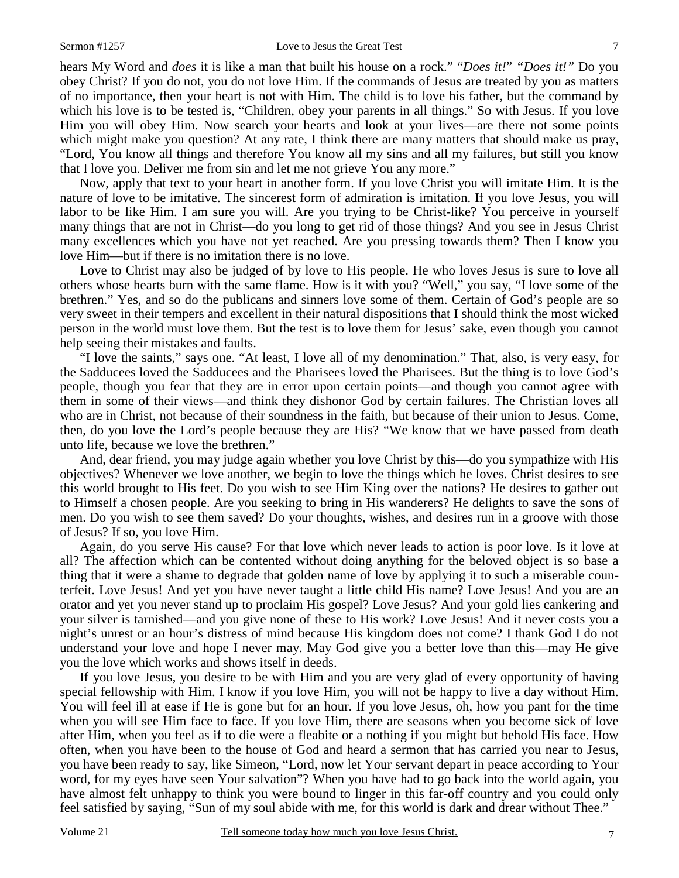hears My Word and *does* it is like a man that built his house on a rock." "*Does it!*" *"Does it!*" Do you obey Christ? If you do not, you do not love Him. If the commands of Jesus are treated by you as matters of no importance, then your heart is not with Him. The child is to love his father, but the command by which his love is to be tested is, "Children, obey your parents in all things." So with Jesus. If you love Him you will obey Him. Now search your hearts and look at your lives—are there not some points which might make you question? At any rate, I think there are many matters that should make us pray, "Lord, You know all things and therefore You know all my sins and all my failures, but still you know that I love you. Deliver me from sin and let me not grieve You any more."

 Now, apply that text to your heart in another form. If you love Christ you will imitate Him. It is the nature of love to be imitative. The sincerest form of admiration is imitation. If you love Jesus, you will labor to be like Him. I am sure you will. Are you trying to be Christ-like? You perceive in yourself many things that are not in Christ—do you long to get rid of those things? And you see in Jesus Christ many excellences which you have not yet reached. Are you pressing towards them? Then I know you love Him—but if there is no imitation there is no love.

 Love to Christ may also be judged of by love to His people. He who loves Jesus is sure to love all others whose hearts burn with the same flame. How is it with you? "Well," you say, "I love some of the brethren." Yes, and so do the publicans and sinners love some of them. Certain of God's people are so very sweet in their tempers and excellent in their natural dispositions that I should think the most wicked person in the world must love them. But the test is to love them for Jesus' sake, even though you cannot help seeing their mistakes and faults.

 "I love the saints," says one. "At least, I love all of my denomination." That, also, is very easy, for the Sadducees loved the Sadducees and the Pharisees loved the Pharisees. But the thing is to love God's people, though you fear that they are in error upon certain points—and though you cannot agree with them in some of their views—and think they dishonor God by certain failures. The Christian loves all who are in Christ, not because of their soundness in the faith, but because of their union to Jesus. Come, then, do you love the Lord's people because they are His? "We know that we have passed from death unto life, because we love the brethren."

 And, dear friend, you may judge again whether you love Christ by this—do you sympathize with His objectives? Whenever we love another, we begin to love the things which he loves. Christ desires to see this world brought to His feet. Do you wish to see Him King over the nations? He desires to gather out to Himself a chosen people. Are you seeking to bring in His wanderers? He delights to save the sons of men. Do you wish to see them saved? Do your thoughts, wishes, and desires run in a groove with those of Jesus? If so, you love Him.

 Again, do you serve His cause? For that love which never leads to action is poor love. Is it love at all? The affection which can be contented without doing anything for the beloved object is so base a thing that it were a shame to degrade that golden name of love by applying it to such a miserable counterfeit. Love Jesus! And yet you have never taught a little child His name? Love Jesus! And you are an orator and yet you never stand up to proclaim His gospel? Love Jesus? And your gold lies cankering and your silver is tarnished—and you give none of these to His work? Love Jesus! And it never costs you a night's unrest or an hour's distress of mind because His kingdom does not come? I thank God I do not understand your love and hope I never may. May God give you a better love than this—may He give you the love which works and shows itself in deeds.

 If you love Jesus, you desire to be with Him and you are very glad of every opportunity of having special fellowship with Him. I know if you love Him, you will not be happy to live a day without Him. You will feel ill at ease if He is gone but for an hour. If you love Jesus, oh, how you pant for the time when you will see Him face to face. If you love Him, there are seasons when you become sick of love after Him, when you feel as if to die were a fleabite or a nothing if you might but behold His face. How often, when you have been to the house of God and heard a sermon that has carried you near to Jesus, you have been ready to say, like Simeon, "Lord, now let Your servant depart in peace according to Your word, for my eyes have seen Your salvation"? When you have had to go back into the world again, you have almost felt unhappy to think you were bound to linger in this far-off country and you could only feel satisfied by saying, "Sun of my soul abide with me, for this world is dark and drear without Thee."